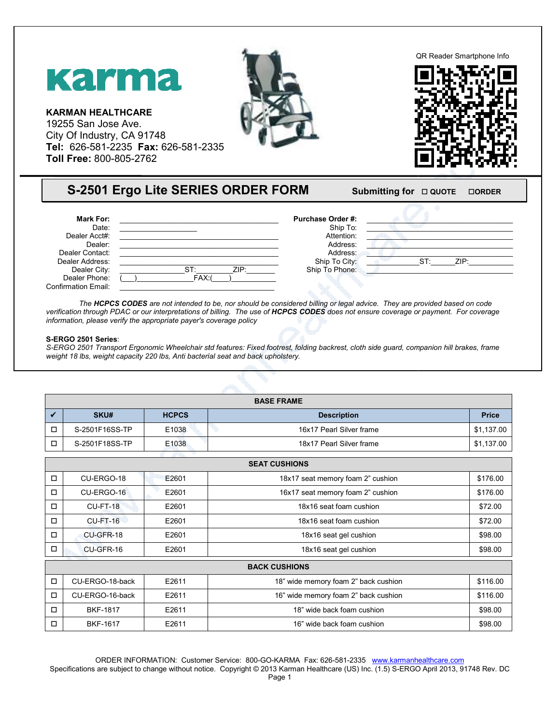## Karma

**KARMAN HEALTHCARE**  19255 San Jose Ave. City Of Industry, CA 91748 **Tel:** 626-581-2235 **Fax:** 626-581-2335 2335 **Toll Free:** 800-805-2762

Dealer Address:<br>
Dealer City: <br>  $\overline{CI}$ : <br>  $\overline{CI}$ : <br>  $\overline{CI}$ : <br>  $\overline{CI}$ : <br>  $\overline{CI}$ : <br>  $\overline{CI}$ : <br>  $\overline{CI}$ : <br>  $\overline{CI}$ : <br>  $\overline{CI}$ : <br>  $\overline{CI}$ : <br>  $\overline{CI}$ : <br>  $\overline{CI}$ :  $\overline{CI}$ :  $\overline{CI}$ : <br>  $\overline{CI}$ :  $\overline{CI}$ :  $\overline{CI$ 

Dealer City: \_\_\_\_\_\_\_\_\_\_\_\_\_\_\_\_ST:\_\_\_\_\_\_\_\_\_ZIP:\_\_\_\_\_\_\_



## QR Reader Smartphone Info Smartphone Info



| rgo Lite SERIES ORDER FORM |                                                                                                               | Submitting for $\Box$ QUOTE<br><b>OORDER</b> |      |  |
|----------------------------|---------------------------------------------------------------------------------------------------------------|----------------------------------------------|------|--|
| ZIP:<br>ST.<br>FAX:        | <b>Purchase Order #:</b><br>Ship To:<br>Attention:<br>Address:<br>Address:<br>Ship To City:<br>Ship To Phone: | ST:                                          | ZIP: |  |

The **HCPCS CODES** are not intended to be, nor should be considered billing or legal advice. They are provided based on code The **HCPCS CODES** are not intended to be, nor should be considered billing or legal advice. They are provided based on code<br>verification through PDAC or our interpretations of billing. The use of **HCPCS CODES** does not ens *information, please verify the appropriate payer's coverage policy* 

## **S-ERGO 2501 Series**:

Dealer Phone: Confirmation Email:

**Mark For:** Date: Dealer Acct#: Dealer: Dealer Contact:

*S-ERGO 2501 Transport Ergonomic Wheelchair std features: Wheelchair std features: Fixed footrest, folding backrest, cloth side guard, companion hill brakes, hill brakes, frame*  weight 18 lbs, weight capacity 220 lbs, Anti bacterial seat and back upholstery.

| <b>BASE FRAME</b> |                |                   |                          |              |
|-------------------|----------------|-------------------|--------------------------|--------------|
|                   | <b>SKU#</b>    | <b>HCPCS</b>      | <b>Description</b>       | <b>Price</b> |
| □                 | S-2501F16SS-TP | E1038             | 16x17 Pearl Silver frame | \$1,137.00   |
| □                 | S-2501F18SS-TP | E <sub>1038</sub> | 18x17 Pearl Silver frame | \$1,137.00   |
|                   |                |                   |                          |              |

| <b>SEAT CUSHIONS</b> |                 |       |                                               |          |
|----------------------|-----------------|-------|-----------------------------------------------|----------|
| □                    | CU-ERGO-18      | E2601 | 18x17 seat memory foam 2" cushion<br>\$176.00 |          |
| □                    | CU-ERGO-16      | E2601 | 16x17 seat memory foam 2" cushion             | \$176.00 |
| $\Box$               | <b>CU-FT-18</b> | E2601 | 18x16 seat foam cushion                       | \$72.00  |
| $\Box$               | $CU-FT-16$      | E2601 | 18x16 seat foam cushion                       | \$72.00  |
| $\Box$               | CU-GFR-18       | E2601 | 18x16 seat gel cushion                        | \$98.00  |
| □                    | CU-GFR-16       | E2601 | 18x16 seat gel cushion                        | \$98.00  |
| <b>BACK CUSHIONS</b> |                 |       |                                               |          |
| $\Box$               | CU-ERGO-18-back | E2611 | 18" wide memory foam 2" back cushion          | \$116.00 |
| $\Box$               | CU-ERGO-16-back | E2611 | 16" wide memory foam 2" back cushion          | \$116.00 |
| $\Box$               | <b>BKF-1817</b> | E2611 | 18" wide back foam cushion                    | \$98.00  |
| □                    | <b>BKF-1617</b> | E2611 | 16" wide back foam cushion                    | \$98.00  |

ORDER INFORMATION: Customer Service: 800-GO-KARMA Fax: 626-581-2335 www.karmanhealthcare.com

Specifications are subject to change without notice. Copyright © 2013 Karman Healthcare (US) Inc. (1.5) S-ERGO April 2013, 91748 Rev. DC